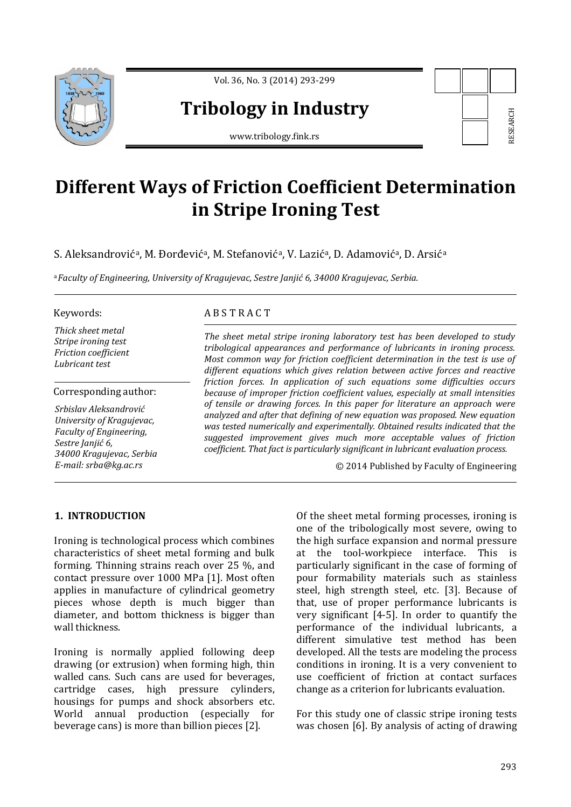

Vol. 36, No. 3 (2014) 293-299

## **Tribology in Industry**

www.tribology.fink.rs



# **Different Ways of Friction Coefficient Determination in Stripe Ironing Test**

S. Aleksandrovićª, M. Đorđevićª, M. Stefanovićª, V. Lazićª, D. Adamovićª, D. Arsićª

<sup>a</sup>*Faculty of Engineering, University of Kragujevac, Sestre Janjić 6, 34000 Kragujevac, Serbia.*

#### Keywords:

*Thick sheet metal Stripe ironing test Friction coefficient Lubricant test* 

Corresponding author:

*Srbislav Aleksandrović University of Kragujevac, Faculty of Engineering, Sestre Janjić 6, 34000 Kragujevac, Serbia E-mail: srba@kg.ac.rs* 

### A B S T R A C T

*The sheet metal stripe ironing laboratory test has been developed to study tribological appearances and performance of lubricants in ironing process. Most common way for friction coefficient determination in the test is use of different equations which gives relation between active forces and reactive friction forces. In application of such equations some difficulties occurs because of improper friction coefficient values, especially at small intensities of tensile or drawing forces. In this paper for literature an approach were analyzed and after that defining of new equation was proposed. New equation was tested numerically and experimentally. Obtained results indicated that the suggested improvement gives much more acceptable values of friction coefficient. That fact is particularly significant in lubricant evaluation process.* 

© 2014 Published by Faculty of Engineering

#### **1. INTRODUCTION**

Ironing is technological process which combines characteristics of sheet metal forming and bulk forming. Thinning strains reach over 25 %, and contact pressure over 1000 MPa [1]. Most often applies in manufacture of cylindrical geometry pieces whose depth is much bigger than diameter, and bottom thickness is bigger than wall thickness.

Ironing is normally applied following deep drawing (or extrusion) when forming high, thin walled cans. Such cans are used for beverages, cartridge cases, high pressure cylinders, housings for pumps and shock absorbers etc. World annual production (especially for beverage cans) is more than billion pieces [2].

Of the sheet metal forming processes, ironing is one of the tribologically most severe, owing to the high surface expansion and normal pressure at the tool-workpiece interface. This is particularly significant in the case of forming of pour formability materials such as stainless steel, high strength steel, etc. [3]. Because of that, use of proper performance lubricants is very significant [4-5]. In order to quantify the performance of the individual lubricants, a different simulative test method has been developed. All the tests are modeling the process conditions in ironing. It is a very convenient to use coefficient of friction at contact surfaces change as a criterion for lubricants evaluation. matrial **Consumer and Consumer Consumer Consumer**<br>
Example 2. **Consumer Consumer Consumer Consumer Consumer Consumer Consumer Consumer Consumer Consumer Consumer Consumer Consumer Consumer Consumer Consumer Consumer Consum** 

For this study one of classic stripe ironing tests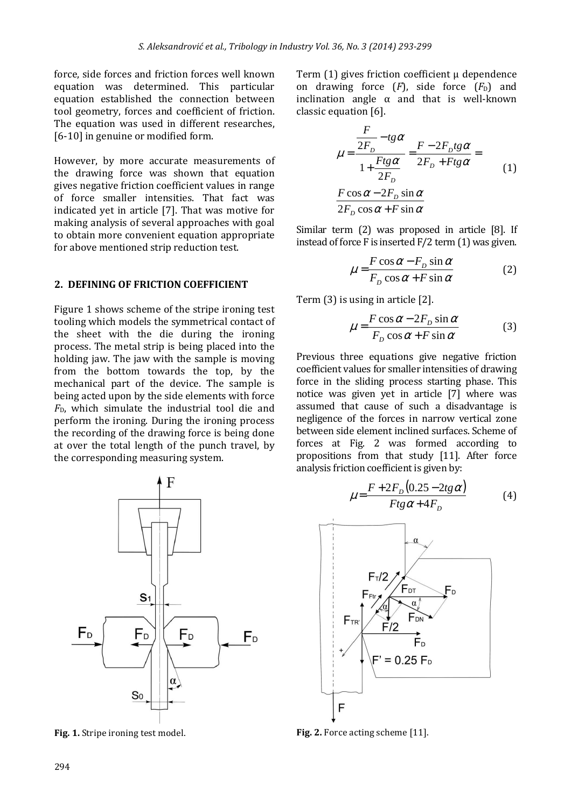force, side forces and friction forces well known equation was determined. This particular equation established the connection between tool geometry, forces and coefficient of friction. The equation was used in different researches. [6-10] in genuine or modified form.

However, by more accurate measurements of the drawing force was shown that equation gives negative friction coefficient values in range of force smaller intensities. That fact was indicated yet in article [7]. That was motive for making analysis of several approaches with goal to obtain more convenient equation appropriate for above mentioned strip reduction test.

#### **2. DEFINING OF FRICTION COEFFICIENT**

Figure 1 shows scheme of the stripe ironing test tooling which models the symmetrical contact of the sheet with the die during the ironing process. The metal strip is being placed into the holding jaw. The jaw with the sample is moving from the bottom towards the top, by the mechanical part of the device. The sample is being acted upon by the side elements with force *F*D, which simulate the industrial tool die and perform the ironing. During the ironing process the recording of the drawing force is being done at over the total length of the punch travel, by the corresponding measuring system.



Fig. 1. Stripe ironing test model.

Term (1) gives friction coefficient μ dependence on drawing force  $(F)$ , side force  $(F_D)$  and inclination angle  $\alpha$  and that is well-known classic equation [6].

$$
\mu = \frac{\frac{F}{2F_D} - tg\alpha}{1 + \frac{Ftg\alpha}{2F_D}} = \frac{F - 2F_Dtg\alpha}{2F_D + Ftg\alpha} =
$$
\n
$$
\frac{F \cos \alpha - 2F_D \sin \alpha}{2F_D \cos \alpha + F \sin \alpha}
$$
\n(1)

Similar term (2) was proposed in article [8]. If instead of force F is inserted  $F/2$  term  $(1)$  was given.

$$
\mu = \frac{F \cos \alpha - F_D \sin \alpha}{F_D \cos \alpha + F \sin \alpha} \tag{2}
$$

Term (3) is using in article [2].

$$
\mu = \frac{F \cos \alpha - 2F_D \sin \alpha}{F_D \cos \alpha + F \sin \alpha} \tag{3}
$$

Previous three equations give negative friction coefficient values for smaller intensities of drawing force in the sliding process starting phase. This notice was given yet in article [7] where was assumed that cause of such a disadvantage is negligence of the forces in narrow vertical zone between side element inclined surfaces. Scheme of forces at Fig. 2 was formed according to propositions from that study [11]. After force analysis friction coefficient is given by:

$$
\mu = \frac{F + 2F_D(0.25 - 2tg\alpha)}{Ftg\alpha + 4F_D} \tag{4}
$$



Fig. 2. Force acting scheme [11].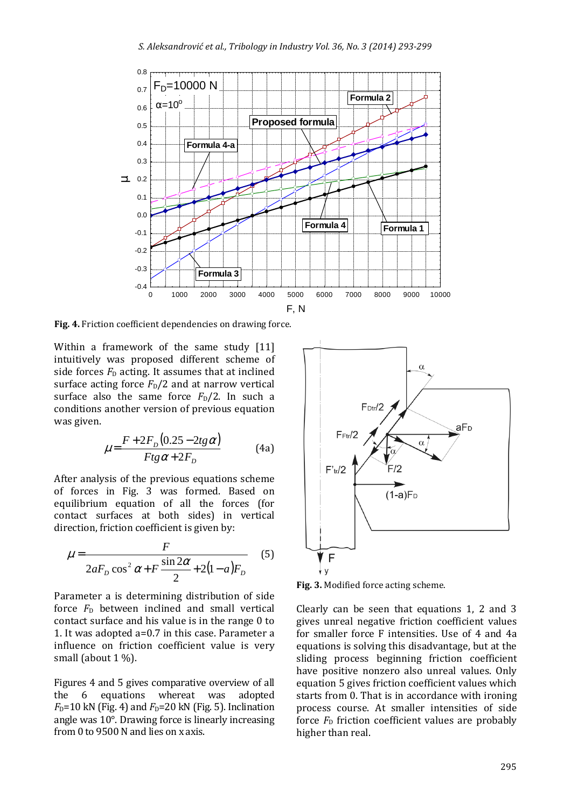

**Fig. 4.** Friction coefficient dependencies on drawing force.

Within a framework of the same study [11] intuitively was proposed different scheme of side forces  $F<sub>D</sub>$  acting. It assumes that at inclined surface acting force  $F_D/2$  and at narrow vertical surface also the same force  $F_D/2$ . In such a conditions another version of previous equation was given.

$$
\mu = \frac{F + 2F_D(0.25 - 2tg\alpha)}{Ftg\alpha + 2F_D} \tag{4a}
$$

After analysis of the previous equations scheme of forces in Fig. 3 was formed. Based on equilibrium equation of all the forces (for contact surfaces at both sides) in vertical direction, friction coefficient is given by:

$$
\mu = \frac{F}{2aF_D \cos^2 \alpha + F \frac{\sin 2\alpha}{2} + 2(1 - a)F_D}
$$
(5)

Parameter a is determining distribution of side force  $F_D$  between inclined and small vertical contact surface and his value is in the range 0 to 1. It was adopted a=0.7 in this case. Parameter a influence on friction coefficient value is very small (about 1 %).

Figures 4 and 5 gives comparative overview of all the 6 equations whereat was adopted  $F<sub>D</sub>=10$  kN (Fig. 4) and  $F<sub>D</sub>=20$  kN (Fig. 5). Inclination angle was 10°. Drawing force is linearly increasing from 0 to 9500 N and lies on x axis.



**Fig. 3.** Modified force acting scheme.

Clearly can be seen that equations 1, 2 and 3 gives unreal negative friction coefficient values for smaller force F intensities. Use of 4 and 4a equations is solving this disadvantage, but at the sliding process beginning friction coefficient have positive nonzero also unreal values. Only equation 5 gives friction coefficient values which starts from 0. That is in accordance with ironing process course. At smaller intensities of side force  $F<sub>D</sub>$  friction coefficient values are probably higher than real.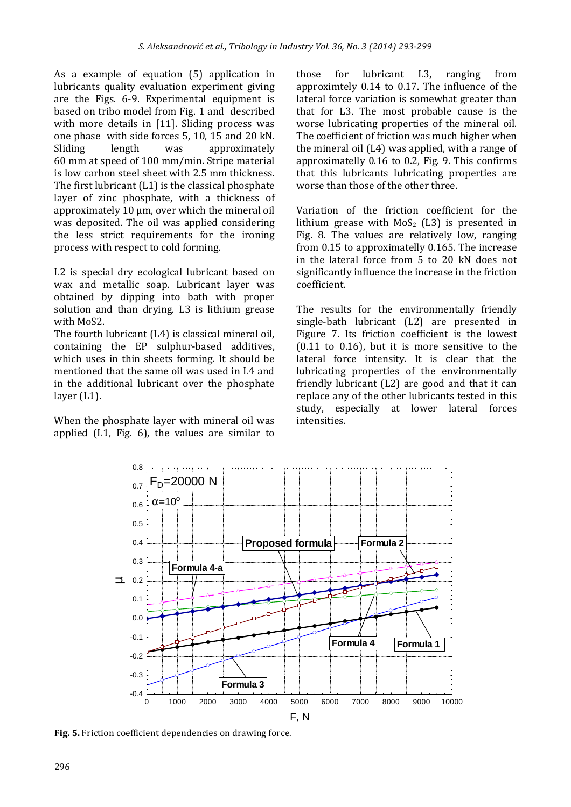As a example of equation (5) application in lubricants quality evaluation experiment giving are the Figs. 6-9. Experimental equipment is based on tribo model from Fig. 1 and described with more details in [11]. Sliding process was one phase with side forces 5, 10, 15 and 20 kN. Sliding length was approximately 60 mm at speed of 100 mm/min. Stripe material is low carbon steel sheet with 2.5 mm thickness. The first lubricant (L1) is the classical phosphate layer of zinc phosphate, with a thickness of approximately 10 μm, over which the mineral oil was deposited. The oil was applied considering the less strict requirements for the ironing process with respect to cold forming.

L2 is special dry ecological lubricant based on wax and metallic soap. Lubricant layer was obtained by dipping into bath with proper solution and than drying. L3 is lithium grease with MoS2.

The fourth lubricant (L4) is classical mineral oil, containing the EP sulphur-based additives, which uses in thin sheets forming. It should be mentioned that the same oil was used in L4 and in the additional lubricant over the phosphate layer (L1).

When the phosphate layer with mineral oil was applied (L1, Fig. 6), the values are similar to

those for lubricant L3, ranging from approximtely 0.14 to 0.17. The influence of the lateral force variation is somewhat greater than that for L3. The most probable cause is the worse lubricating properties of the mineral oil. The coefficient of friction was much higher when the mineral oil (L4) was applied, with a range of approximatelly 0.16 to 0.2, Fig. 9. This confirms that this lubricants lubricating properties are worse than those of the other three.

Variation of the friction coefficient for the lithium grease with  $MoS<sub>2</sub>$  (L3) is presented in Fig. 8. The values are relatively low, ranging from 0.15 to approximatelly 0.165. The increase in the lateral force from 5 to 20 kN does not significantly influence the increase in the friction coefficient.

The results for the environmentally friendly single-bath lubricant (L2) are presented in Figure 7. Its friction coefficient is the lowest (0.11 to 0.16), but it is more sensitive to the lateral force intensity. It is clear that the lubricating properties of the environmentally friendly lubricant (L2) are good and that it can replace any of the other lubricants tested in this study, especially at lower lateral forces intensities.



**Fig. 5.** Friction coefficient dependencies on drawing force.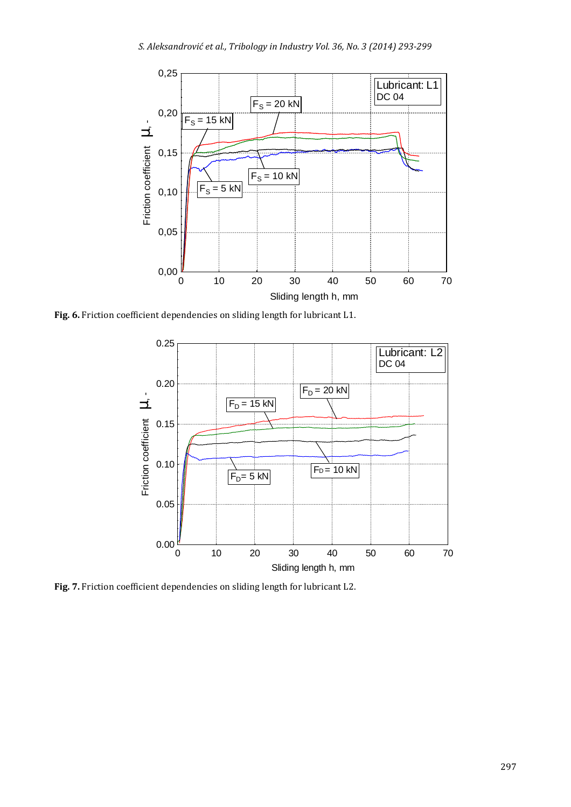

**Fig. 6.** Friction coefficient dependencies on sliding length for lubricant L1.



**Fig. 7.** Friction coefficient dependencies on sliding length for lubricant L2.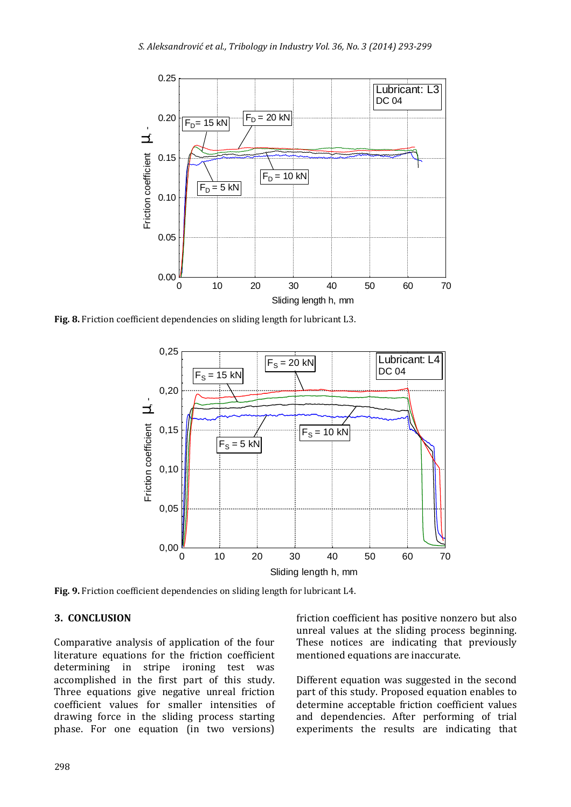

**Fig. 8.** Friction coefficient dependencies on sliding length for lubricant L3.



**Fig. 9.** Friction coefficient dependencies on sliding length for lubricant L4.

#### **3. CONCLUSION**

Comparative analysis of application of the four literature equations for the friction coefficient determining in stripe ironing test was accomplished in the first part of this study. Three equations give negative unreal friction coefficient values for smaller intensities of drawing force in the sliding process starting phase. For one equation (in two versions) friction coefficient has positive nonzero but also unreal values at the sliding process beginning. These notices are indicating that previously mentioned equations are inaccurate.

Different equation was suggested in the second part of this study. Proposed equation enables to determine acceptable friction coefficient values and dependencies. After performing of trial experiments the results are indicating that